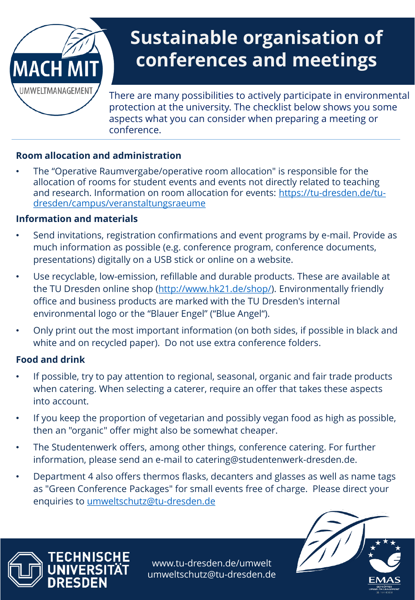

# **Sustainable organisation of conferences and meetings**

There are many possibilities to actively participate in environmental protection at the university. The checklist below shows you some aspects what you can consider when preparing a meeting or conference.

## **Room allocation and administration**

• The "Operative Raumvergabe/operative room allocation" is responsible for the allocation of rooms for student events and events not directly related to teaching [and research. Information on room allocation for events: https://tu-dresden.de/tu](https://tu-dresden.de/tu-dresden/campus/veranstaltungsraeume)dresden/campus/veranstaltungsraeume

### **Information and materials**

- Send invitations, registration confirmations and event programs by e-mail. Provide as much information as possible (e.g. conference program, conference documents, presentations) digitally on a USB stick or online on a website.
- Use recyclable, low-emission, refillable and durable products. These are available at the TU Dresden online shop [\(http://www.hk21.de/shop/](http://www.hk21.de/shop/)). Environmentally friendly office and business products are marked with the TU Dresden's internal environmental logo or the "Blauer Engel" ("Blue Angel").
- Only print out the most important information (on both sides, if possible in black and white and on recycled paper). Do not use extra conference folders.

## **Food and drink**

TECHNISCHE

NRFSN

- If possible, try to pay attention to regional, seasonal, organic and fair trade products when catering. When selecting a caterer, require an offer that takes these aspects into account.
- If you keep the proportion of vegetarian and possibly vegan food as high as possible, then an "organic" offer might also be somewhat cheaper.
- The Studentenwerk offers, among other things, conference catering. For further information, please send an e-mail to catering@studentenwerk-dresden.de.
- Department 4 also offers thermos flasks, decanters and glasses as well as name tags as "Green Conference Packages" for small events free of charge. Please direct your enquiries to [umweltschutz@tu-dresden.de](mailto:umweltschutz@tu-dresden.de)

www.tu-dresden.de/umwelt umweltschutz@tu-dresden.de